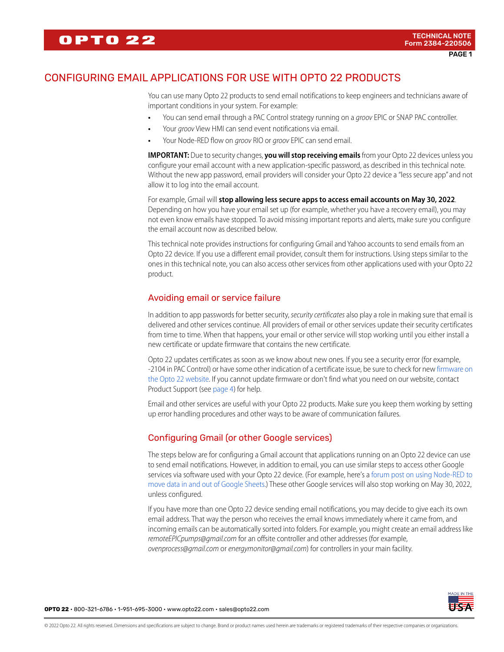# CONFIGURING EMAIL APPLICATIONS FOR USE WITH OPTO 22 PRODUCTS

You can use many Opto 22 products to send email notifications to keep engineers and technicians aware of important conditions in your system. For example:

- **•** You can send email through a PAC Control strategy running on a groov EPIC or SNAP PAC controller.
- **•** Your groov View HMI can send event notifications via email.
- **•** Your Node-RED flow on groov RIO or groov EPIC can send email.

**IMPORTANT:** Due to security changes, **you will stop receiving emails** from your Opto 22 devices unless you configure your email account with a new application-specific password, as described in this technical note. Without the new app password, email providers will consider your Opto 22 device a "less secure app" and not allow it to log into the email account.

For example, Gmail will **stop allowing less secure apps to access email accounts on May 30, 2022**. Depending on how you have your email set up (for example, whether you have a recovery email), you may not even know emails have stopped. To avoid missing important reports and alerts, make sure you configure the email account now as described below.

This technical note provides instructions for configuring Gmail and Yahoo accounts to send emails from an Opto 22 device. If you use a different email provider, consult them for instructions. Using steps similar to the ones in this technical note, you can also access other services from other applications used with your Opto 22 product.

## Avoiding email or service failure

In addition to app passwords for better security, security certificates also play a role in making sure that email is delivered and other services continue. All providers of email or other services update their security certificates from time to time. When that happens, your email or other service will stop working until you either install a new certificate or update firmware that contains the new certificate.

Opto 22 updates certificates as soon as we know about new ones. If you see a security error (for example, -2104 in PAC Control) or have some other indication of a certificate issue, be sure to check for new [firmware on](https://www.opto22.com/support/resources-tools?keyword=&rt=68&tag=1373)  [the Opto 22 website.](https://www.opto22.com/support/resources-tools?keyword=&rt=68&tag=1373) If you cannot update firmware or don't find what you need on our website, contact Product Support (see [page 4\)](#page-3-0) for help.

Email and other services are useful with your Opto 22 products. Make sure you keep them working by setting up error handling procedures and other ways to be aware of communication failures.

## Configuring Gmail (or other Google services)

The steps below are for configuring a Gmail account that applications running on an Opto 22 device can use to send email notifications. However, in addition to email, you can use similar steps to access other Google services via software used with your Opto 22 device. (For example, here's a [forum post on using Node-RED to](https://forums.opto22.com/t/how-to-pull-a-google-sheets-document-into-node-red/4115)  [move data in and out of Google Sheets](https://forums.opto22.com/t/how-to-pull-a-google-sheets-document-into-node-red/4115).) These other Google services will also stop working on May 30, 2022, unless configured.

If you have more than one Opto 22 device sending email notifications, you may decide to give each its own email address. That way the person who receives the email knows immediately where it came from, and incoming emails can be automatically sorted into folders. For example, you might create an email address like remoteEPICpumps@gmail.com for an offsite controller and other addresses (for example, ovenprocess@gmail.com or energymonitor@gmail.com) for controllers in your main facility.



**OPTO 22** • 800-321-6786 • 1-951-695-3000 • www.opto22.com • sales@opto22.com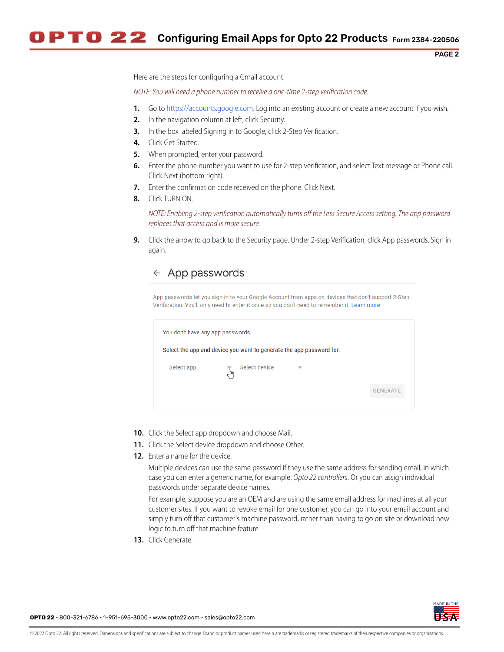PAGE 2

Here are the steps for configuring a Gmail account.

NOTE: You will need a phone number to receive a one-time 2-step verification code.

- **1.** Go to [https://accounts.google.com.](https://accounts.google.com) Log into an existing account or create a new account if you wish.
- **2.** In the navigation column at left, click Security.
- **3.** In the box labeled Signing in to Google, click 2-Step Verification.
- **4.** Click Get Started.
- **5.** When prompted, enter your password.
- **6.** Enter the phone number you want to use for 2-step verification, and select Text message or Phone call. Click Next (bottom right).
- **7.** Enter the confirmation code received on the phone. Click Next.
- **8.** Click TURN ON.

NOTE: Enabling 2-step verification automatically turns off the Less Secure Access setting. The app password replaces that access and is more secure.

**9.** Click the arrow to go back to the Security page. Under 2-step Verification, click App passwords. Sign in again.

## $\leftarrow$  App passwords

App passwords let you sign in to your Google Account from apps on devices that don't support 2-Step Verification. You'll only need to enter it once so you don't need to remember it. Learn more

| You don't have any app passwords.                                    |                      |   |                 |  |
|----------------------------------------------------------------------|----------------------|---|-----------------|--|
| Select the app and device you want to generate the app password for. |                      |   |                 |  |
| Select app                                                           | Select device<br>∫հո | ▼ |                 |  |
|                                                                      |                      |   | <b>GENERATE</b> |  |
|                                                                      |                      |   |                 |  |

- **10.** Click the Select app dropdown and choose Mail.
- **11.** Click the Select device dropdown and choose Other.
- **12.** Enter a name for the device.

Multiple devices can use the same password if they use the same address for sending email, in which case you can enter a generic name, for example, Opto 22 controllers. Or you can assign individual passwords under separate device names.

For example, suppose you are an OEM and are using the same email address for machines at all your customer sites. If you want to revoke email for one customer, you can go into your email account and simply turn off that customer's machine password, rather than having to go on site or download new logic to turn off that machine feature.

**13.** Click Generate.

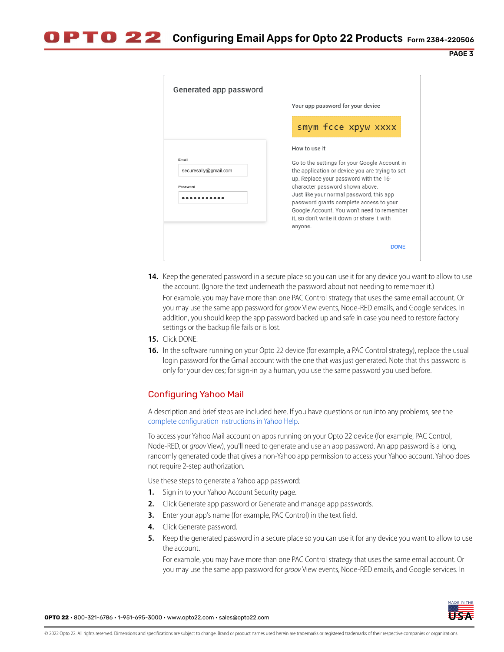PAGE 3

|                                            | Your app password for your device                                                                                                                                                                                                                                                                                                                                                             |  |
|--------------------------------------------|-----------------------------------------------------------------------------------------------------------------------------------------------------------------------------------------------------------------------------------------------------------------------------------------------------------------------------------------------------------------------------------------------|--|
|                                            | smym fcce xpyw xxxx                                                                                                                                                                                                                                                                                                                                                                           |  |
| Email<br>securesally@gmail.com<br>Password | How to use it<br>Go to the settings for your Google Account in<br>the application or device you are trying to set<br>up. Replace your password with the 16-<br>character password shown above.<br>Just like your normal password, this app<br>password grants complete access to your<br>Google Account. You won't need to remember<br>it, so don't write it down or share it with<br>anyone. |  |

**14.** Keep the generated password in a secure place so you can use it for any device you want to allow to use the account. (Ignore the text underneath the password about not needing to remember it.)

For example, you may have more than one PAC Control strategy that uses the same email account. Or you may use the same app password for groov View events, Node-RED emails, and Google services. In addition, you should keep the app password backed up and safe in case you need to restore factory settings or the backup file fails or is lost.

- **15.** Click DONE.
- **16.** In the software running on your Opto 22 device (for example, a PAC Control strategy), replace the usual login password for the Gmail account with the one that was just generated. Note that this password is only for your devices; for sign-in by a human, you use the same password you used before.

## Configuring Yahoo Mail

A description and brief steps are included here. If you have questions or run into any problems, see the [complete configuration instructions in Yahoo Help.](https://help.yahoo.com/kb/new-mail-for-desktop/SLN15241.html?impressions=true&guccounter=1&guce_referrer=aHR0cHM6Ly93d3cuZ29vZ2xlLmNvbS8&guce_referrer_sig=AQAAAJZJ-q54M9RnIkwKgJ8M5ksTkHzHEVYeJT5EqHcMrNzm4OlMP7vGeiPEW9Ko6BcwIxeN42Mw5Q-Rm2VZ5wgU4tIZcpAQONowaIoOqxMspUkEMOHs6ZUpYslsxd59AopBGGTksLz8ndfvfrvU4UKJTaFT_uxlRZ-DJN5-KS8jRWRX)

To access your Yahoo Mail account on apps running on your Opto 22 device (for example, PAC Control, Node-RED, or groov View), you'll need to generate and use an app password. An app password is a long, randomly generated code that gives a non-Yahoo app permission to access your Yahoo account. Yahoo does not require 2-step authorization.

Use these steps to generate a Yahoo app password:

- **1.** Sign in to your Yahoo Account Security page.
- **2.** Click Generate app password or Generate and manage app passwords.
- **3.** Enter your app's name (for example, PAC Control) in the text field.
- **4.** Click Generate password.
- **5.** Keep the generated password in a secure place so you can use it for any device you want to allow to use the account.

For example, you may have more than one PAC Control strategy that uses the same email account. Or you may use the same app password for groov View events, Node-RED emails, and Google services. In